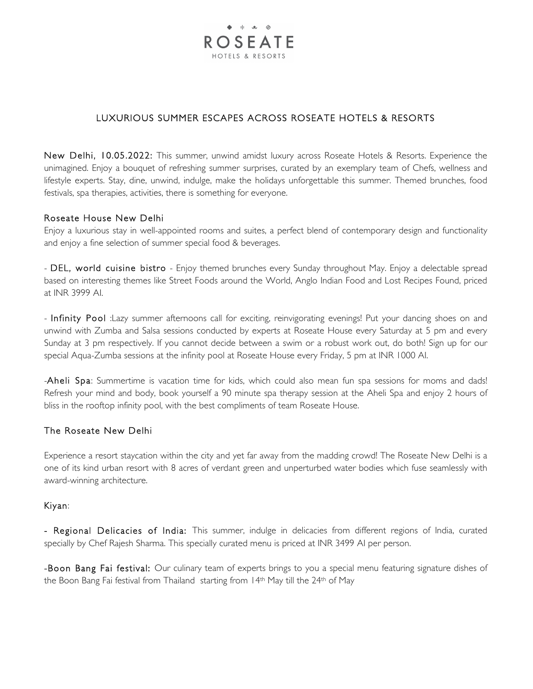

# LUXURIOUS SUMMER ESCAPES ACROSS ROSEATE HOTELS & RESORTS

New Delhi, 10.05.2022: This summer, unwind amidst luxury across Roseate Hotels & Resorts. Experience the unimagined. Enjoy a bouquet of refreshing summer surprises, curated by an exemplary team of Chefs, wellness and lifestyle experts. Stay, dine, unwind, indulge, make the holidays unforgettable this summer. Themed brunches, food festivals, spa therapies, activities, there is something for everyone.

# Roseate House New Delhi

Enjoy a luxurious stay in well-appointed rooms and suites, a perfect blend of contemporary design and functionality and enjoy a fine selection of summer special food & beverages.

- DEL, world cuisine bistro - Enjoy themed brunches every Sunday throughout May. Enjoy a delectable spread based on interesting themes like Street Foods around the World, Anglo Indian Food and Lost Recipes Found, priced at INR 3999 AI.

- Infinity Pool :Lazy summer afternoons call for exciting, reinvigorating evenings! Put your dancing shoes on and unwind with Zumba and Salsa sessions conducted by experts at Roseate House every Saturday at 5 pm and every Sunday at 3 pm respectively. If you cannot decide between a swim or a robust work out, do both! Sign up for our special Aqua-Zumba sessions at the infinity pool at Roseate House every Friday, 5 pm at INR 1000 AI.

-Aheli Spa: Summertime is vacation time for kids, which could also mean fun spa sessions for moms and dads! Refresh your mind and body, book yourself a 90 minute spa therapy session at the Aheli Spa and enjoy 2 hours of bliss in the rooftop infinity pool, with the best compliments of team Roseate House.

# The Roseate New Delhi

Experience a resort staycation within the city and yet far away from the madding crowd! The Roseate New Delhi is a one of its kind urban resort with 8 acres of verdant green and unperturbed water bodies which fuse seamlessly with award-winning architecture.

#### Kiyan:

- Regional Delicacies of India: This summer, indulge in delicacies from different regions of India, curated specially by Chef Rajesh Sharma. This specially curated menu is priced at INR 3499 AI per person.

-Boon Bang Fai festival: Our culinary team of experts brings to you a special menu featuring signature dishes of the Boon Bang Fai festival from Thailand starting from 14<sup>th</sup> May till the 24<sup>th</sup> of May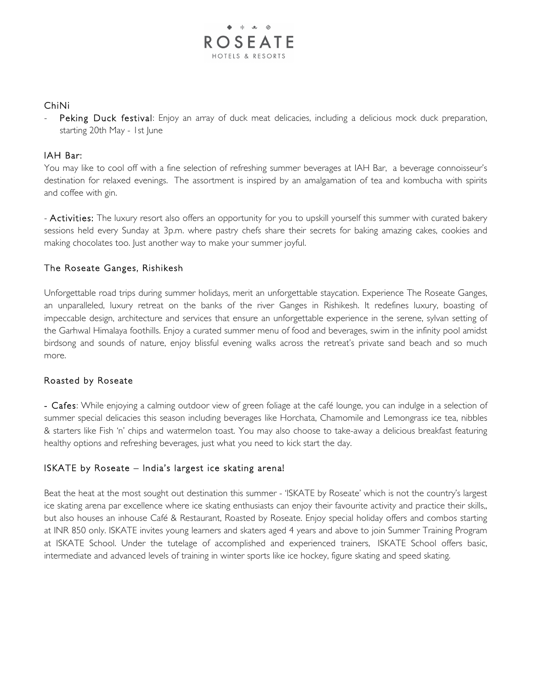

# ChiNi

Peking Duck festival: Enjoy an array of duck meat delicacies, including a delicious mock duck preparation, starting 20th May - 1st June

#### IAH Bar:

You may like to cool off with a fine selection of refreshing summer beverages at IAH Bar, a beverage connoisseur's destination for relaxed evenings. The assortment is inspired by an amalgamation of tea and kombucha with spirits and coffee with gin.

- Activities: The luxury resort also offers an opportunity for you to upskill yourself this summer with curated bakery sessions held every Sunday at 3p.m. where pastry chefs share their secrets for baking amazing cakes, cookies and making chocolates too. Just another way to make your summer joyful.

# The Roseate Ganges, Rishikesh

Unforgettable road trips during summer holidays, merit an unforgettable staycation. Experience The Roseate Ganges, an unparalleled, luxury retreat on the banks of the river Ganges in Rishikesh. It redefines luxury, boasting of impeccable design, architecture and services that ensure an unforgettable experience in the serene, sylvan setting of the Garhwal Himalaya foothills. Enjoy a curated summer menu of food and beverages, swim in the infinity pool amidst birdsong and sounds of nature, enjoy blissful evening walks across the retreat's private sand beach and so much more.

# Roasted by Roseate

- Cafes: While enjoying a calming outdoor view of green foliage at the café lounge, you can indulge in a selection of summer special delicacies this season including beverages like Horchata, Chamomile and Lemongrass ice tea, nibbles & starters like Fish 'n' chips and watermelon toast. You may also choose to take-away a delicious breakfast featuring healthy options and refreshing beverages, just what you need to kick start the day.

# ISKATE by Roseate – India's largest ice skating arena!

Beat the heat at the most sought out destination this summer - 'ISKATE by Roseate' which is not the country's largest ice skating arena par excellence where ice skating enthusiasts can enjoy their favourite activity and practice their skills,, but also houses an inhouse Café & Restaurant, Roasted by Roseate. Enjoy special holiday offers and combos starting at INR 850 only. ISKATE invites young learners and skaters aged 4 years and above to join Summer Training Program at ISKATE School. Under the tutelage of accomplished and experienced trainers, ISKATE School offers basic, intermediate and advanced levels of training in winter sports like ice hockey, figure skating and speed skating.